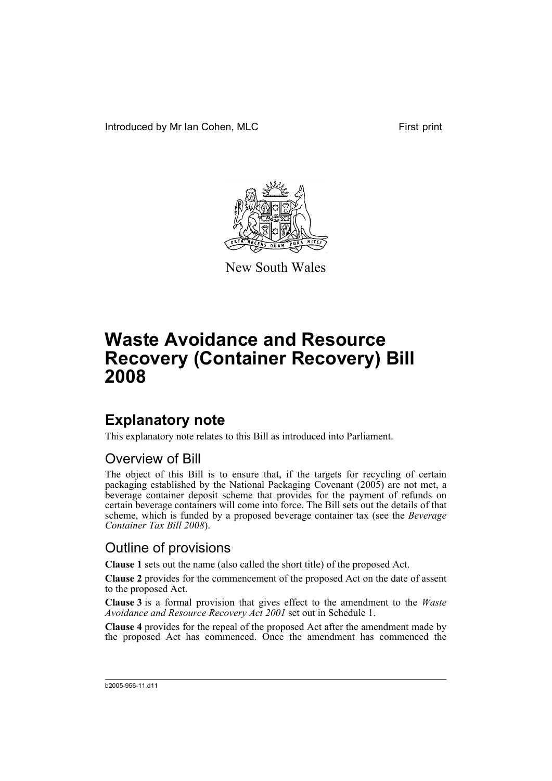Introduced by Mr Ian Cohen, MLC First print



New South Wales

# **Waste Avoidance and Resource Recovery (Container Recovery) Bill 2008**

## **Explanatory note**

This explanatory note relates to this Bill as introduced into Parliament.

### Overview of Bill

The object of this Bill is to ensure that, if the targets for recycling of certain packaging established by the National Packaging Covenant (2005) are not met, a beverage container deposit scheme that provides for the payment of refunds on certain beverage containers will come into force. The Bill sets out the details of that scheme, which is funded by a proposed beverage container tax (see the *Beverage Container Tax Bill 2008*).

### Outline of provisions

**Clause 1** sets out the name (also called the short title) of the proposed Act.

**Clause 2** provides for the commencement of the proposed Act on the date of assent to the proposed Act.

**Clause 3** is a formal provision that gives effect to the amendment to the *Waste Avoidance and Resource Recovery Act 2001* set out in Schedule 1.

**Clause 4** provides for the repeal of the proposed Act after the amendment made by the proposed Act has commenced. Once the amendment has commenced the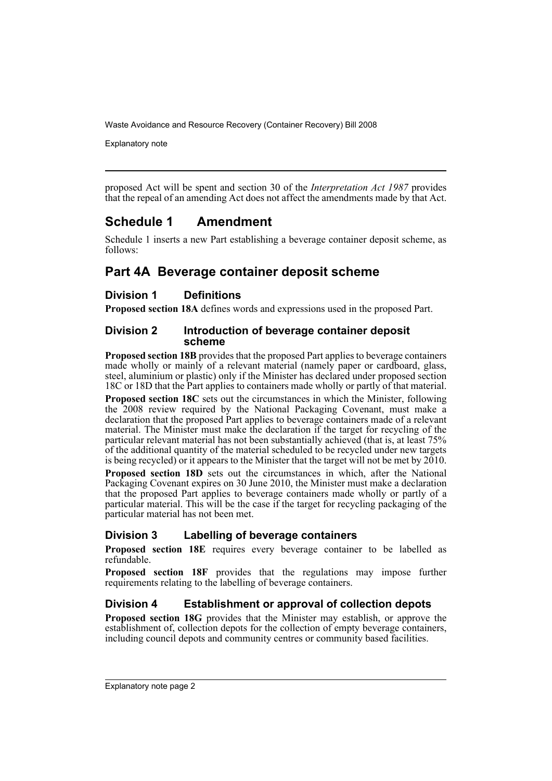Explanatory note

proposed Act will be spent and section 30 of the *Interpretation Act 1987* provides that the repeal of an amending Act does not affect the amendments made by that Act.

### **Schedule 1 Amendment**

Schedule 1 inserts a new Part establishing a beverage container deposit scheme, as follows:

### **Part 4A Beverage container deposit scheme**

#### **Division 1 Definitions**

**Proposed section 18A** defines words and expressions used in the proposed Part.

#### **Division 2 Introduction of beverage container deposit scheme**

**Proposed section 18B** provides that the proposed Part applies to beverage containers made wholly or mainly of a relevant material (namely paper or cardboard, glass, steel, aluminium or plastic) only if the Minister has declared under proposed section 18C or 18D that the Part applies to containers made wholly or partly of that material.

**Proposed section 18C** sets out the circumstances in which the Minister, following the 2008 review required by the National Packaging Covenant, must make a declaration that the proposed Part applies to beverage containers made of a relevant material. The Minister must make the declaration if the target for recycling of the particular relevant material has not been substantially achieved (that is, at least 75% of the additional quantity of the material scheduled to be recycled under new targets is being recycled) or it appears to the Minister that the target will not be met by 2010.

**Proposed section 18D** sets out the circumstances in which, after the National Packaging Covenant expires on 30 June 2010, the Minister must make a declaration that the proposed Part applies to beverage containers made wholly or partly of a particular material. This will be the case if the target for recycling packaging of the particular material has not been met.

#### **Division 3 Labelling of beverage containers**

**Proposed section 18E** requires every beverage container to be labelled as refundable.

**Proposed section 18F** provides that the regulations may impose further requirements relating to the labelling of beverage containers.

#### **Division 4 Establishment or approval of collection depots**

**Proposed section 18G** provides that the Minister may establish, or approve the establishment of, collection depots for the collection of empty beverage containers, including council depots and community centres or community based facilities.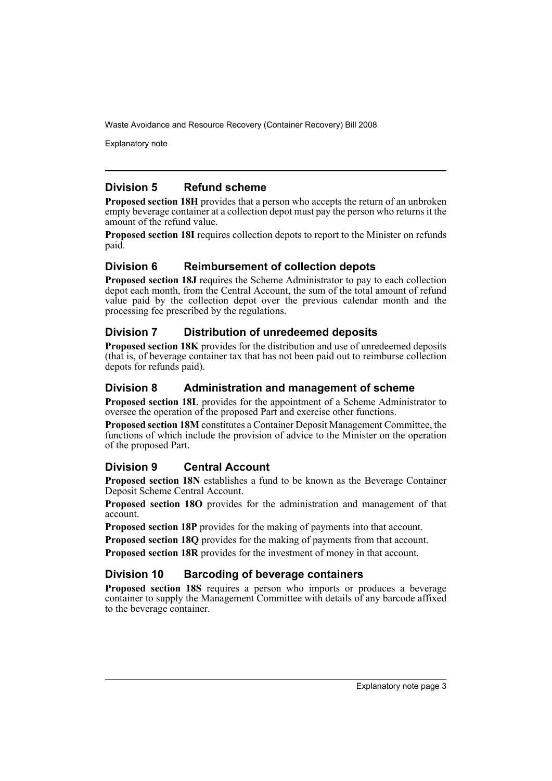Explanatory note

#### **Division 5 Refund scheme**

**Proposed section 18H** provides that a person who accepts the return of an unbroken empty beverage container at a collection depot must pay the person who returns it the amount of the refund value.

**Proposed section 18I** requires collection depots to report to the Minister on refunds paid.

#### **Division 6 Reimbursement of collection depots**

**Proposed section 18J** requires the Scheme Administrator to pay to each collection depot each month, from the Central Account, the sum of the total amount of refund value paid by the collection depot over the previous calendar month and the processing fee prescribed by the regulations.

#### **Division 7 Distribution of unredeemed deposits**

**Proposed section 18K** provides for the distribution and use of unredeemed deposits (that is, of beverage container tax that has not been paid out to reimburse collection depots for refunds paid).

#### **Division 8 Administration and management of scheme**

**Proposed section 18L** provides for the appointment of a Scheme Administrator to oversee the operation of the proposed Part and exercise other functions.

**Proposed section 18M** constitutes a Container Deposit Management Committee, the functions of which include the provision of advice to the Minister on the operation of the proposed Part.

#### **Division 9 Central Account**

**Proposed section 18N** establishes a fund to be known as the Beverage Container Deposit Scheme Central Account.

**Proposed section 18O** provides for the administration and management of that account.

**Proposed section 18P** provides for the making of payments into that account.

**Proposed section 18Q** provides for the making of payments from that account.

**Proposed section 18R** provides for the investment of money in that account.

#### **Division 10 Barcoding of beverage containers**

**Proposed section 18S** requires a person who imports or produces a beverage container to supply the Management Committee with details of any barcode affixed to the beverage container.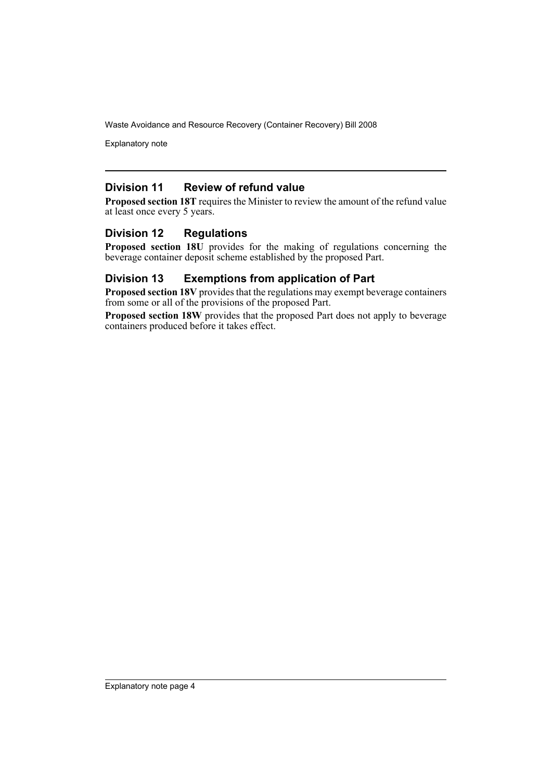Explanatory note

#### **Division 11 Review of refund value**

**Proposed section 18T** requires the Minister to review the amount of the refund value at least once every 5 years.

#### **Division 12 Regulations**

**Proposed section 18U** provides for the making of regulations concerning the beverage container deposit scheme established by the proposed Part.

#### **Division 13 Exemptions from application of Part**

**Proposed section 18V** provides that the regulations may exempt beverage containers from some or all of the provisions of the proposed Part.

**Proposed section 18W** provides that the proposed Part does not apply to beverage containers produced before it takes effect.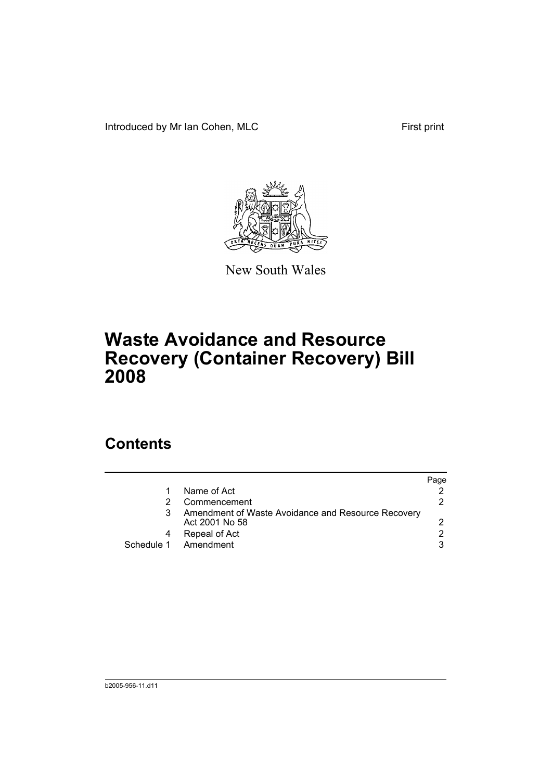Introduced by Mr Ian Cohen, MLC First print



New South Wales

# **Waste Avoidance and Resource Recovery (Container Recovery) Bill 2008**

## **Contents**

|            |                                                                      | Page |
|------------|----------------------------------------------------------------------|------|
|            | Name of Act                                                          |      |
|            | Commencement                                                         | 2    |
|            | Amendment of Waste Avoidance and Resource Recovery<br>Act 2001 No 58 |      |
|            | Repeal of Act                                                        |      |
| Schedule 1 | Amendment                                                            | 3    |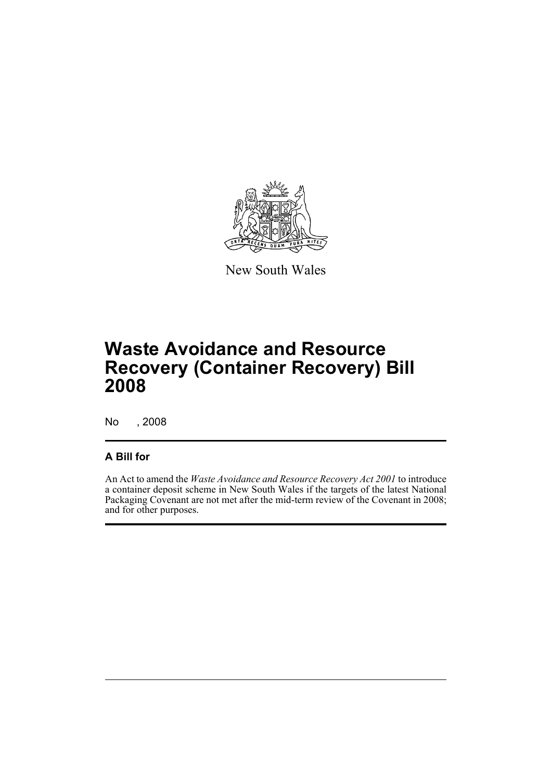

New South Wales

## **Waste Avoidance and Resource Recovery (Container Recovery) Bill 2008**

No , 2008

#### **A Bill for**

An Act to amend the *Waste Avoidance and Resource Recovery Act 2001* to introduce a container deposit scheme in New South Wales if the targets of the latest National Packaging Covenant are not met after the mid-term review of the Covenant in 2008; and for other purposes.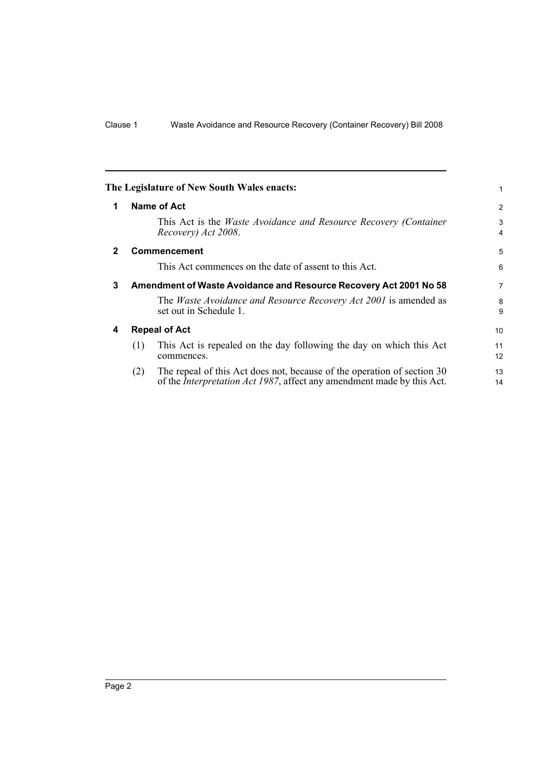<span id="page-7-3"></span><span id="page-7-2"></span><span id="page-7-1"></span><span id="page-7-0"></span>

|              |                                                                   | The Legislature of New South Wales enacts:                                                                                                                | 1        |
|--------------|-------------------------------------------------------------------|-----------------------------------------------------------------------------------------------------------------------------------------------------------|----------|
| 1            |                                                                   | Name of Act                                                                                                                                               | 2        |
|              |                                                                   | This Act is the <i>Waste Avoidance and Resource Recovery (Container</i> )<br>Recovery) Act 2008.                                                          | 3<br>4   |
| $\mathbf{2}$ |                                                                   | <b>Commencement</b>                                                                                                                                       | 5        |
|              |                                                                   | This Act commences on the date of assent to this Act.                                                                                                     | 6        |
| 3            | Amendment of Waste Avoidance and Resource Recovery Act 2001 No 58 |                                                                                                                                                           |          |
|              |                                                                   | The <i>Waste Avoidance and Resource Recovery Act 2001</i> is amended as<br>set out in Schedule 1.                                                         | 8<br>9   |
| 4            |                                                                   | <b>Repeal of Act</b>                                                                                                                                      | 10       |
|              | (1)                                                               | This Act is repealed on the day following the day on which this Act<br>commences.                                                                         | 11<br>12 |
|              | (2)                                                               | The repeal of this Act does not, because of the operation of section 30<br>of the <i>Interpretation Act 1987</i> , affect any amendment made by this Act. | 13<br>14 |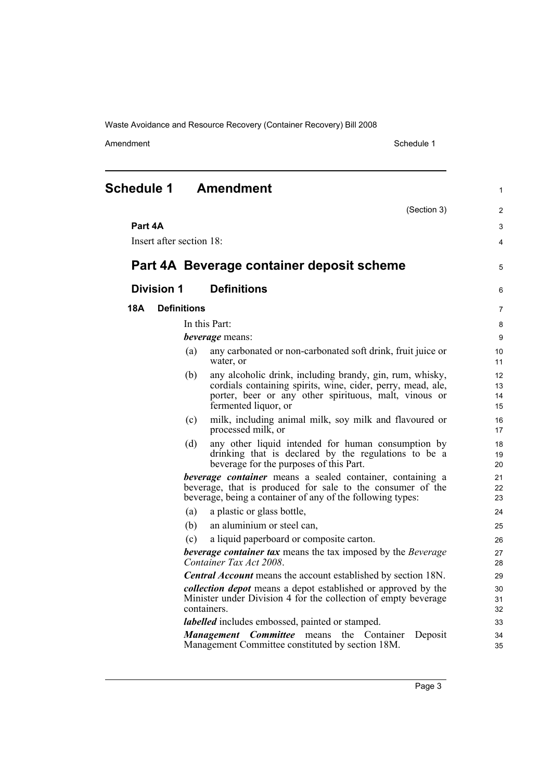<span id="page-8-0"></span>

| (Section 3)<br>Part 4A<br>Insert after section 18:<br>Part 4A Beverage container deposit scheme<br><b>Definitions</b><br><b>Division 1</b><br><b>Definitions</b><br>18A<br>In this Part:<br><i>beverage</i> means:<br>any carbonated or non-carbonated soft drink, fruit juice or<br>(a)<br>water, or<br>any alcoholic drink, including brandy, gin, rum, whisky,<br>(b)<br>cordials containing spirits, wine, cider, perry, mead, ale,<br>porter, beer or any other spirituous, malt, vinous or<br>fermented liquor, or<br>milk, including animal milk, soy milk and flavoured or<br>(c)<br>processed milk, or<br>any other liquid intended for human consumption by<br>(d)<br>drinking that is declared by the regulations to be a<br>beverage for the purposes of this Part.<br><b>beverage container</b> means a sealed container, containing a<br>beverage, that is produced for sale to the consumer of the<br>beverage, being a container of any of the following types:<br>(a)<br>a plastic or glass bottle,<br>(b)<br>an aluminium or steel can,<br>a liquid paperboard or composite carton.<br>(c)<br><b>beverage container tax</b> means the tax imposed by the Beverage<br>Container Tax Act 2008.<br><b>Central Account</b> means the account established by section 18N.<br><i>collection depot</i> means a depot established or approved by the<br>Minister under Division 4 for the collection of empty beverage<br>containers.<br><i>labelled</i> includes embossed, painted or stamped.<br><b>Management Committee</b> means the Container<br>Deposit<br>Management Committee constituted by section 18M. | <b>Schedule 1</b> |  | <b>Amendment</b> | $\mathbf{1}$         |
|-----------------------------------------------------------------------------------------------------------------------------------------------------------------------------------------------------------------------------------------------------------------------------------------------------------------------------------------------------------------------------------------------------------------------------------------------------------------------------------------------------------------------------------------------------------------------------------------------------------------------------------------------------------------------------------------------------------------------------------------------------------------------------------------------------------------------------------------------------------------------------------------------------------------------------------------------------------------------------------------------------------------------------------------------------------------------------------------------------------------------------------------------------------------------------------------------------------------------------------------------------------------------------------------------------------------------------------------------------------------------------------------------------------------------------------------------------------------------------------------------------------------------------------------------------------------------------------------------------------------------------|-------------------|--|------------------|----------------------|
|                                                                                                                                                                                                                                                                                                                                                                                                                                                                                                                                                                                                                                                                                                                                                                                                                                                                                                                                                                                                                                                                                                                                                                                                                                                                                                                                                                                                                                                                                                                                                                                                                             |                   |  |                  | $\overline{2}$       |
|                                                                                                                                                                                                                                                                                                                                                                                                                                                                                                                                                                                                                                                                                                                                                                                                                                                                                                                                                                                                                                                                                                                                                                                                                                                                                                                                                                                                                                                                                                                                                                                                                             |                   |  |                  | 3                    |
|                                                                                                                                                                                                                                                                                                                                                                                                                                                                                                                                                                                                                                                                                                                                                                                                                                                                                                                                                                                                                                                                                                                                                                                                                                                                                                                                                                                                                                                                                                                                                                                                                             |                   |  |                  | $\overline{4}$       |
|                                                                                                                                                                                                                                                                                                                                                                                                                                                                                                                                                                                                                                                                                                                                                                                                                                                                                                                                                                                                                                                                                                                                                                                                                                                                                                                                                                                                                                                                                                                                                                                                                             |                   |  |                  | 5                    |
|                                                                                                                                                                                                                                                                                                                                                                                                                                                                                                                                                                                                                                                                                                                                                                                                                                                                                                                                                                                                                                                                                                                                                                                                                                                                                                                                                                                                                                                                                                                                                                                                                             |                   |  |                  | 6                    |
|                                                                                                                                                                                                                                                                                                                                                                                                                                                                                                                                                                                                                                                                                                                                                                                                                                                                                                                                                                                                                                                                                                                                                                                                                                                                                                                                                                                                                                                                                                                                                                                                                             |                   |  |                  | $\overline{7}$       |
|                                                                                                                                                                                                                                                                                                                                                                                                                                                                                                                                                                                                                                                                                                                                                                                                                                                                                                                                                                                                                                                                                                                                                                                                                                                                                                                                                                                                                                                                                                                                                                                                                             |                   |  |                  | 8                    |
|                                                                                                                                                                                                                                                                                                                                                                                                                                                                                                                                                                                                                                                                                                                                                                                                                                                                                                                                                                                                                                                                                                                                                                                                                                                                                                                                                                                                                                                                                                                                                                                                                             |                   |  |                  | 9                    |
|                                                                                                                                                                                                                                                                                                                                                                                                                                                                                                                                                                                                                                                                                                                                                                                                                                                                                                                                                                                                                                                                                                                                                                                                                                                                                                                                                                                                                                                                                                                                                                                                                             |                   |  |                  | 10<br>11             |
|                                                                                                                                                                                                                                                                                                                                                                                                                                                                                                                                                                                                                                                                                                                                                                                                                                                                                                                                                                                                                                                                                                                                                                                                                                                                                                                                                                                                                                                                                                                                                                                                                             |                   |  |                  | 12<br>13<br>14<br>15 |
|                                                                                                                                                                                                                                                                                                                                                                                                                                                                                                                                                                                                                                                                                                                                                                                                                                                                                                                                                                                                                                                                                                                                                                                                                                                                                                                                                                                                                                                                                                                                                                                                                             |                   |  |                  | 16<br>17             |
|                                                                                                                                                                                                                                                                                                                                                                                                                                                                                                                                                                                                                                                                                                                                                                                                                                                                                                                                                                                                                                                                                                                                                                                                                                                                                                                                                                                                                                                                                                                                                                                                                             |                   |  |                  | 18<br>19<br>20       |
|                                                                                                                                                                                                                                                                                                                                                                                                                                                                                                                                                                                                                                                                                                                                                                                                                                                                                                                                                                                                                                                                                                                                                                                                                                                                                                                                                                                                                                                                                                                                                                                                                             |                   |  |                  | 21<br>22<br>23       |
|                                                                                                                                                                                                                                                                                                                                                                                                                                                                                                                                                                                                                                                                                                                                                                                                                                                                                                                                                                                                                                                                                                                                                                                                                                                                                                                                                                                                                                                                                                                                                                                                                             |                   |  |                  | 24                   |
|                                                                                                                                                                                                                                                                                                                                                                                                                                                                                                                                                                                                                                                                                                                                                                                                                                                                                                                                                                                                                                                                                                                                                                                                                                                                                                                                                                                                                                                                                                                                                                                                                             |                   |  |                  | 25                   |
|                                                                                                                                                                                                                                                                                                                                                                                                                                                                                                                                                                                                                                                                                                                                                                                                                                                                                                                                                                                                                                                                                                                                                                                                                                                                                                                                                                                                                                                                                                                                                                                                                             |                   |  |                  | 26                   |
|                                                                                                                                                                                                                                                                                                                                                                                                                                                                                                                                                                                                                                                                                                                                                                                                                                                                                                                                                                                                                                                                                                                                                                                                                                                                                                                                                                                                                                                                                                                                                                                                                             |                   |  |                  | 27<br>28             |
|                                                                                                                                                                                                                                                                                                                                                                                                                                                                                                                                                                                                                                                                                                                                                                                                                                                                                                                                                                                                                                                                                                                                                                                                                                                                                                                                                                                                                                                                                                                                                                                                                             |                   |  |                  | 29                   |
|                                                                                                                                                                                                                                                                                                                                                                                                                                                                                                                                                                                                                                                                                                                                                                                                                                                                                                                                                                                                                                                                                                                                                                                                                                                                                                                                                                                                                                                                                                                                                                                                                             |                   |  |                  | 30<br>31<br>32       |
|                                                                                                                                                                                                                                                                                                                                                                                                                                                                                                                                                                                                                                                                                                                                                                                                                                                                                                                                                                                                                                                                                                                                                                                                                                                                                                                                                                                                                                                                                                                                                                                                                             |                   |  |                  | 33                   |
|                                                                                                                                                                                                                                                                                                                                                                                                                                                                                                                                                                                                                                                                                                                                                                                                                                                                                                                                                                                                                                                                                                                                                                                                                                                                                                                                                                                                                                                                                                                                                                                                                             |                   |  |                  | 34<br>35             |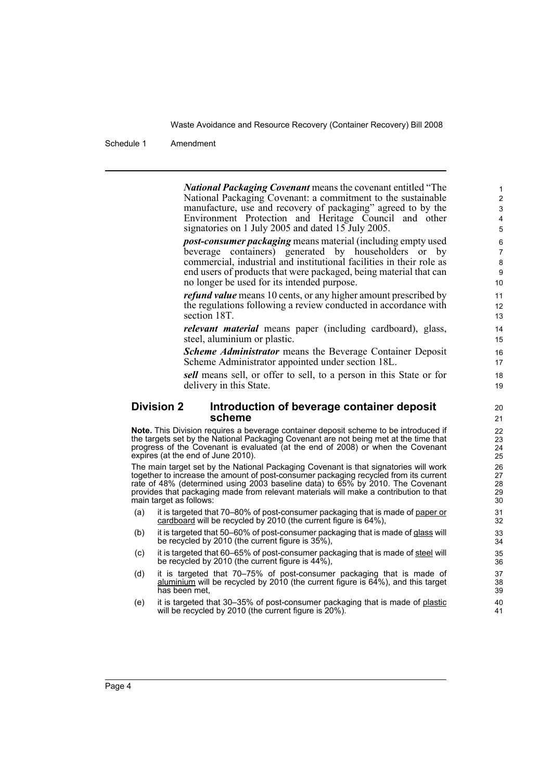Schedule 1 Amendment

*National Packaging Covenant* means the covenant entitled "The National Packaging Covenant: a commitment to the sustainable manufacture, use and recovery of packaging" agreed to by the Environment Protection and Heritage Council and other signatories on 1 July 2005 and dated 15 July 2005.

*post-consumer packaging* means material (including empty used beverage containers) generated by householders or by commercial, industrial and institutional facilities in their role as end users of products that were packaged, being material that can no longer be used for its intended purpose.

*refund value* means 10 cents, or any higher amount prescribed by the regulations following a review conducted in accordance with section 18T.

*relevant material* means paper (including cardboard), glass, steel, aluminium or plastic.

*Scheme Administrator* means the Beverage Container Deposit Scheme Administrator appointed under section 18L.

*sell* means sell, or offer to sell, to a person in this State or for delivery in this State.

#### **Division 2 Introduction of beverage container deposit scheme**

**Note.** This Division requires a beverage container deposit scheme to be introduced if the targets set by the National Packaging Covenant are not being met at the time that progress of the Covenant is evaluated (at the end of 2008) or when the Covenant expires (at the end of June 2010).

The main target set by the National Packaging Covenant is that signatories will work together to increase the amount of post-consumer packaging recycled from its current rate of 48% (determined using 2003 baseline data) to 65% by 2010. The Covenant provides that packaging made from relevant materials will make a contribution to that main target as follows:

- (a) it is targeted that 70–80% of post-consumer packaging that is made of paper or cardboard will be recycled by 2010 (the current figure is 64%),
- (b) it is targeted that 50–60% of post-consumer packaging that is made of glass will be recycled by 2010 (the current figure is 35%),
- (c) it is targeted that 60–65% of post-consumer packaging that is made of steel will be recycled by 2010 (the current figure is 44%),
- (d) it is targeted that 70–75% of post-consumer packaging that is made of aluminium will be recycled by 2010 (the current figure is 64%), and this target has been met,
- (e) it is targeted that 30–35% of post-consumer packaging that is made of plastic will be recycled by 2010 (the current figure is 20%).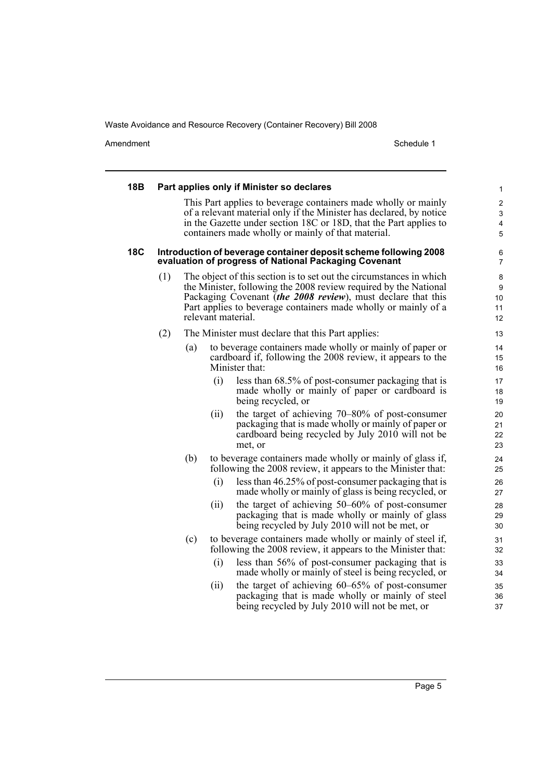| 18B        |     |     |      | Part applies only if Minister so declares                                                                                                                                                                                                                                                       | 1                                      |
|------------|-----|-----|------|-------------------------------------------------------------------------------------------------------------------------------------------------------------------------------------------------------------------------------------------------------------------------------------------------|----------------------------------------|
|            |     |     |      | This Part applies to beverage containers made wholly or mainly<br>of a relevant material only if the Minister has declared, by notice<br>in the Gazette under section 18C or 18D, that the Part applies to<br>containers made wholly or mainly of that material.                                | $\overline{\mathbf{c}}$<br>3<br>4<br>5 |
| <b>18C</b> |     |     |      | Introduction of beverage container deposit scheme following 2008<br>evaluation of progress of National Packaging Covenant                                                                                                                                                                       | 6<br>7                                 |
|            | (1) |     |      | The object of this section is to set out the circumstances in which<br>the Minister, following the 2008 review required by the National<br>Packaging Covenant (the 2008 review), must declare that this<br>Part applies to beverage containers made wholly or mainly of a<br>relevant material. | 8<br>9<br>10<br>11<br>12               |
|            | (2) |     |      | The Minister must declare that this Part applies:                                                                                                                                                                                                                                               | 13                                     |
|            |     | (a) |      | to beverage containers made wholly or mainly of paper or<br>cardboard if, following the 2008 review, it appears to the<br>Minister that:                                                                                                                                                        | 14<br>15<br>16                         |
|            |     |     | (i)  | less than 68.5% of post-consumer packaging that is<br>made wholly or mainly of paper or cardboard is<br>being recycled, or                                                                                                                                                                      | 17<br>18<br>19                         |
|            |     |     | (i)  | the target of achieving 70–80% of post-consumer<br>packaging that is made wholly or mainly of paper or<br>cardboard being recycled by July 2010 will not be<br>met, or                                                                                                                          | 20<br>21<br>22<br>23                   |
|            |     | (b) | (i)  | to beverage containers made wholly or mainly of glass if,<br>following the 2008 review, it appears to the Minister that:<br>less than 46.25% of post-consumer packaging that is                                                                                                                 | 24<br>25<br>26                         |
|            |     |     |      | made wholly or mainly of glass is being recycled, or                                                                                                                                                                                                                                            | 27                                     |
|            |     |     | (ii) | the target of achieving $50-60\%$ of post-consumer<br>packaging that is made wholly or mainly of glass<br>being recycled by July 2010 will not be met, or                                                                                                                                       | 28<br>29<br>30                         |
|            |     | (c) |      | to beverage containers made wholly or mainly of steel if,<br>following the 2008 review, it appears to the Minister that:                                                                                                                                                                        | 31<br>32                               |
|            |     |     | (i)  | less than 56% of post-consumer packaging that is<br>made wholly or mainly of steel is being recycled, or                                                                                                                                                                                        | 33<br>34                               |
|            |     |     | (ii) | the target of achieving $60-65\%$ of post-consumer<br>packaging that is made wholly or mainly of steel<br>being recycled by July 2010 will not be met, or                                                                                                                                       | 35<br>36<br>37                         |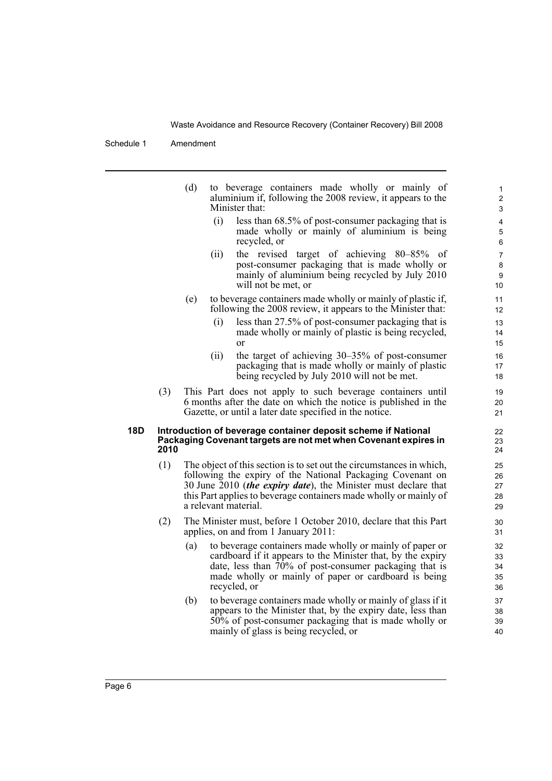|     |      | (d) | to beverage containers made wholly or mainly of<br>aluminium if, following the 2008 review, it appears to the<br>Minister that:                                                                                                                                                                           |                            | 1<br>$\overline{\mathbf{c}}$<br>3 |
|-----|------|-----|-----------------------------------------------------------------------------------------------------------------------------------------------------------------------------------------------------------------------------------------------------------------------------------------------------------|----------------------------|-----------------------------------|
|     |      |     | (i)<br>less than 68.5% of post-consumer packaging that is<br>made wholly or mainly of aluminium is being<br>recycled, or                                                                                                                                                                                  |                            | 4<br>5<br>6                       |
|     |      |     | the revised target of achieving 80–85%<br>(ii)<br>post-consumer packaging that is made wholly or<br>mainly of aluminium being recycled by July 2010<br>will not be met, or                                                                                                                                | - of<br>10                 | $\overline{7}$<br>8<br>9          |
|     |      | (e) | to beverage containers made wholly or mainly of plastic if,<br>following the 2008 review, it appears to the Minister that:                                                                                                                                                                                | 11<br>12                   |                                   |
|     |      |     | (i)<br>less than 27.5% of post-consumer packaging that is<br>made wholly or mainly of plastic is being recycled,<br>or                                                                                                                                                                                    | 13<br>14<br>15             |                                   |
|     |      |     | (ii)<br>the target of achieving $30-35\%$ of post-consumer<br>packaging that is made wholly or mainly of plastic<br>being recycled by July 2010 will not be met.                                                                                                                                          | 16<br>17<br>18             |                                   |
|     | (3)  |     | This Part does not apply to such beverage containers until<br>6 months after the date on which the notice is published in the<br>Gazette, or until a later date specified in the notice.                                                                                                                  | 19<br>20<br>21             |                                   |
| 18D | 2010 |     | Introduction of beverage container deposit scheme if National<br>Packaging Covenant targets are not met when Covenant expires in                                                                                                                                                                          | 22<br>23<br>24             |                                   |
|     | (1)  |     | The object of this section is to set out the circumstances in which,<br>following the expiry of the National Packaging Covenant on<br>30 June 2010 <i>(the expiry date)</i> , the Minister must declare that<br>this Part applies to beverage containers made wholly or mainly of<br>a relevant material. | 25<br>26<br>27<br>28<br>29 |                                   |
|     | (2)  |     | The Minister must, before 1 October 2010, declare that this Part<br>applies, on and from 1 January 2011:                                                                                                                                                                                                  | 30<br>31                   |                                   |
|     |      | (a) | to beverage containers made wholly or mainly of paper or<br>cardboard if it appears to the Minister that, by the expiry<br>date, less than $70\%$ of post-consumer packaging that is<br>made wholly or mainly of paper or cardboard is being<br>recycled, or                                              | 32<br>33<br>34<br>35<br>36 |                                   |
|     |      | (b) | to beverage containers made wholly or mainly of glass if it<br>appears to the Minister that, by the expiry date, less than<br>50% of post-consumer packaging that is made wholly or<br>mainly of glass is being recycled, or                                                                              | 37<br>38<br>39<br>40       |                                   |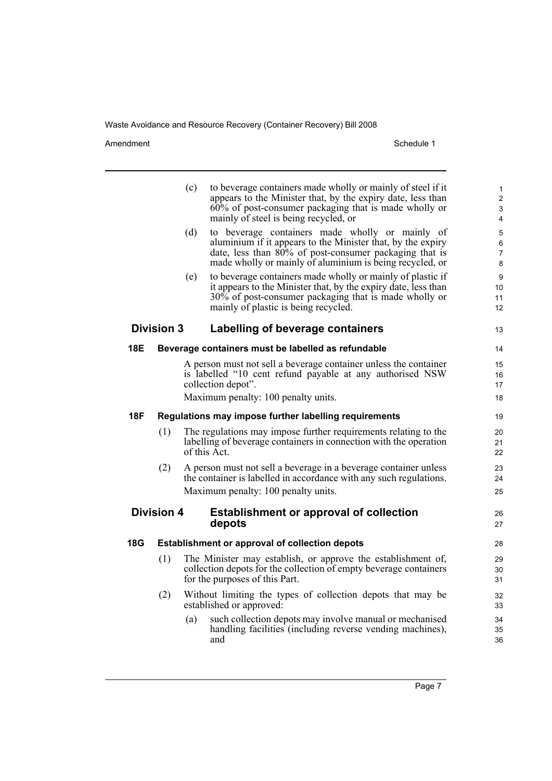Amendment Schedule 1

|            |                   | (c) | to beverage containers made wholly or mainly of steel if it<br>appears to the Minister that, by the expiry date, less than<br>60% of post-consumer packaging that is made wholly or<br>mainly of steel is being recycled, or         | 1<br>$\overline{c}$<br>3<br>4 |
|------------|-------------------|-----|--------------------------------------------------------------------------------------------------------------------------------------------------------------------------------------------------------------------------------------|-------------------------------|
|            |                   | (d) | to beverage containers made wholly or mainly of<br>aluminium if it appears to the Minister that, by the expiry<br>date, less than 80% of post-consumer packaging that is<br>made wholly or mainly of aluminium is being recycled, or | 5<br>6<br>7<br>8              |
|            |                   | (e) | to beverage containers made wholly or mainly of plastic if<br>it appears to the Minister that, by the expiry date, less than<br>30% of post-consumer packaging that is made wholly or<br>mainly of plastic is being recycled.        | 9<br>10<br>11<br>12           |
|            | <b>Division 3</b> |     | Labelling of beverage containers                                                                                                                                                                                                     | 13                            |
| 18E        |                   |     | Beverage containers must be labelled as refundable                                                                                                                                                                                   | 14                            |
|            |                   |     | A person must not sell a beverage container unless the container<br>is labelled "10 cent refund payable at any authorised NSW<br>collection depot".                                                                                  | 15<br>16<br>17                |
|            |                   |     | Maximum penalty: 100 penalty units.                                                                                                                                                                                                  | 18                            |
| <b>18F</b> |                   |     | Regulations may impose further labelling requirements                                                                                                                                                                                | 19                            |
|            | (1)               |     | The regulations may impose further requirements relating to the<br>labelling of beverage containers in connection with the operation<br>of this Act.                                                                                 | 20<br>21<br>22                |
|            | (2)               |     | A person must not sell a beverage in a beverage container unless<br>the container is labelled in accordance with any such regulations.<br>Maximum penalty: 100 penalty units.                                                        | 23<br>24<br>25                |
|            | <b>Division 4</b> |     | <b>Establishment or approval of collection</b><br>depots                                                                                                                                                                             | 26<br>27                      |
| 18G        |                   |     | Establishment or approval of collection depots                                                                                                                                                                                       | 28                            |
|            | (1)               |     | The Minister may establish, or approve the establishment of,<br>collection depots for the collection of empty beverage containers<br>for the purposes of this Part.                                                                  | 29<br>30<br>31                |
|            | (2)               |     | Without limiting the types of collection depots that may be<br>established or approved:                                                                                                                                              | 32<br>33                      |
|            |                   | (a) | such collection depots may involve manual or mechanised<br>handling facilities (including reverse vending machines),<br>and                                                                                                          | 34<br>35<br>36                |
|            |                   |     |                                                                                                                                                                                                                                      |                               |

Page 7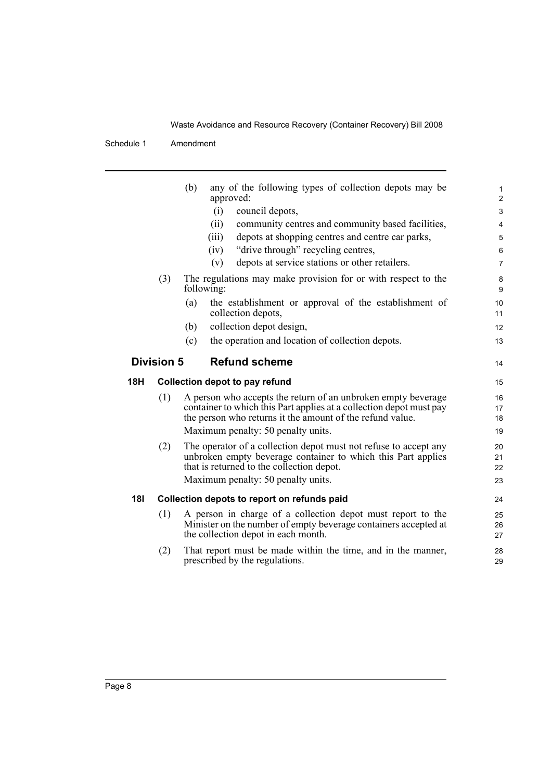|                                           | (3) | any of the following types of collection depots may be<br>(b)<br>approved:<br>council depots,<br>(i)<br>community centres and community based facilities,<br>(ii)<br>depots at shopping centres and centre car parks,<br>(iii)<br>"drive through" recycling centres,<br>(iv)<br>depots at service stations or other retailers.<br>(v)<br>The regulations may make provision for or with respect to the<br>following:<br>the establishment or approval of the establishment of<br>(a) | $\mathbf{1}$<br>$\overline{c}$<br>$\ensuremath{\mathsf{3}}$<br>$\overline{4}$<br>5<br>$6\phantom{1}6$<br>$\overline{7}$<br>8<br>9<br>10 |  |  |
|-------------------------------------------|-----|--------------------------------------------------------------------------------------------------------------------------------------------------------------------------------------------------------------------------------------------------------------------------------------------------------------------------------------------------------------------------------------------------------------------------------------------------------------------------------------|-----------------------------------------------------------------------------------------------------------------------------------------|--|--|
|                                           |     | collection depots,                                                                                                                                                                                                                                                                                                                                                                                                                                                                   | 11                                                                                                                                      |  |  |
|                                           |     | collection depot design,<br>(b)                                                                                                                                                                                                                                                                                                                                                                                                                                                      | 12                                                                                                                                      |  |  |
|                                           |     | (c)<br>the operation and location of collection depots.                                                                                                                                                                                                                                                                                                                                                                                                                              | 13                                                                                                                                      |  |  |
| <b>Division 5</b><br><b>Refund scheme</b> |     |                                                                                                                                                                                                                                                                                                                                                                                                                                                                                      |                                                                                                                                         |  |  |
| <b>18H</b>                                |     | <b>Collection depot to pay refund</b>                                                                                                                                                                                                                                                                                                                                                                                                                                                | 15                                                                                                                                      |  |  |
|                                           | (1) | A person who accepts the return of an unbroken empty beverage<br>container to which this Part applies at a collection depot must pay                                                                                                                                                                                                                                                                                                                                                 | 16<br>17                                                                                                                                |  |  |
|                                           |     | the person who returns it the amount of the refund value.<br>Maximum penalty: 50 penalty units.                                                                                                                                                                                                                                                                                                                                                                                      | 18<br>19                                                                                                                                |  |  |
|                                           | (2) | The operator of a collection depot must not refuse to accept any<br>unbroken empty beverage container to which this Part applies<br>that is returned to the collection depot.<br>Maximum penalty: 50 penalty units.                                                                                                                                                                                                                                                                  | 20<br>21<br>22<br>23                                                                                                                    |  |  |
| <b>18I</b>                                |     | Collection depots to report on refunds paid                                                                                                                                                                                                                                                                                                                                                                                                                                          | 24                                                                                                                                      |  |  |
|                                           | (1) | A person in charge of a collection depot must report to the<br>Minister on the number of empty beverage containers accepted at<br>the collection depot in each month.                                                                                                                                                                                                                                                                                                                | 25<br>26<br>27                                                                                                                          |  |  |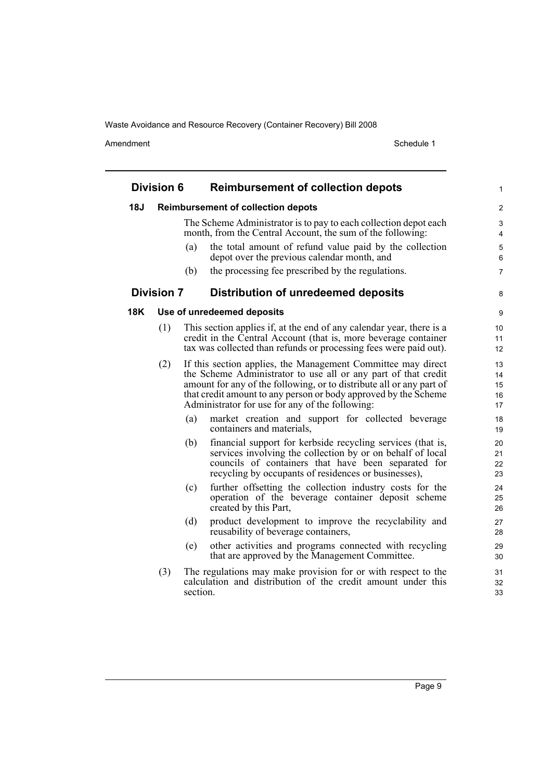Amendment Schedule 1

 $\overline{\phantom{0}}$ 

|     | <b>Division 6</b> |          | <b>Reimbursement of collection depots</b>                                                                                                                                                                                                                                                                                    | 1                              |
|-----|-------------------|----------|------------------------------------------------------------------------------------------------------------------------------------------------------------------------------------------------------------------------------------------------------------------------------------------------------------------------------|--------------------------------|
| 18J |                   |          | <b>Reimbursement of collection depots</b>                                                                                                                                                                                                                                                                                    | $\overline{2}$                 |
|     |                   |          | The Scheme Administrator is to pay to each collection depot each<br>month, from the Central Account, the sum of the following:                                                                                                                                                                                               | $\ensuremath{\mathsf{3}}$<br>4 |
|     |                   | (a)      | the total amount of refund value paid by the collection<br>depot over the previous calendar month, and                                                                                                                                                                                                                       | 5<br>$\,6$                     |
|     |                   | (b)      | the processing fee prescribed by the regulations.                                                                                                                                                                                                                                                                            | $\overline{7}$                 |
|     | <b>Division 7</b> |          | <b>Distribution of unredeemed deposits</b>                                                                                                                                                                                                                                                                                   | 8                              |
| 18K |                   |          | Use of unredeemed deposits                                                                                                                                                                                                                                                                                                   | 9                              |
|     | (1)               |          | This section applies if, at the end of any calendar year, there is a<br>credit in the Central Account (that is, more beverage container<br>tax was collected than refunds or processing fees were paid out).                                                                                                                 | 10<br>11<br>12                 |
|     | (2)               |          | If this section applies, the Management Committee may direct<br>the Scheme Administrator to use all or any part of that credit<br>amount for any of the following, or to distribute all or any part of<br>that credit amount to any person or body approved by the Scheme<br>Administrator for use for any of the following: | 13<br>14<br>15<br>16<br>17     |
|     |                   | (a)      | market creation and support for collected beverage<br>containers and materials,                                                                                                                                                                                                                                              | 18<br>19                       |
|     |                   | (b)      | financial support for kerbside recycling services (that is,<br>services involving the collection by or on behalf of local<br>councils of containers that have been separated for<br>recycling by occupants of residences or businesses),                                                                                     | 20<br>21<br>22<br>23           |
|     |                   | (c)      | further offsetting the collection industry costs for the<br>operation of the beverage container deposit scheme<br>created by this Part,                                                                                                                                                                                      | 24<br>25<br>26                 |
|     |                   | (d)      | product development to improve the recyclability and<br>reusability of beverage containers,                                                                                                                                                                                                                                  | 27<br>28                       |
|     |                   | (e)      | other activities and programs connected with recycling<br>that are approved by the Management Committee.                                                                                                                                                                                                                     | 29<br>30                       |
|     | (3)               | section. | The regulations may make provision for or with respect to the<br>calculation and distribution of the credit amount under this                                                                                                                                                                                                | 31<br>32<br>33                 |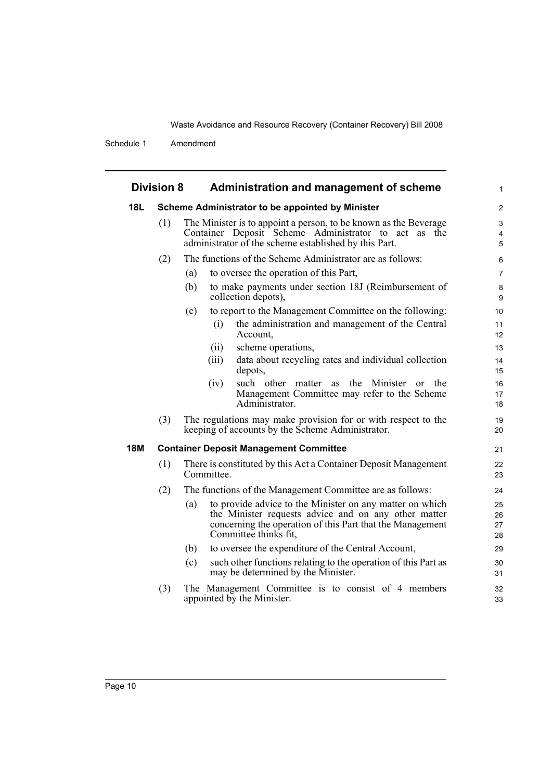|            | <b>Division 8</b> | Administration and management of scheme                                                                                                                                                                       | $\mathbf{1}$             |
|------------|-------------------|---------------------------------------------------------------------------------------------------------------------------------------------------------------------------------------------------------------|--------------------------|
| <b>18L</b> |                   | Scheme Administrator to be appointed by Minister                                                                                                                                                              | $\overline{2}$           |
|            | (1)               | The Minister is to appoint a person, to be known as the Beverage<br>Container Deposit Scheme Administrator to act as the<br>administrator of the scheme established by this Part.                             | $\mathfrak{S}$<br>4<br>5 |
|            | (2)               | The functions of the Scheme Administrator are as follows:                                                                                                                                                     | 6                        |
|            |                   | to oversee the operation of this Part,<br>(a)                                                                                                                                                                 | $\overline{7}$           |
|            |                   | to make payments under section 18J (Reimbursement of<br>(b)<br>collection depots),                                                                                                                            | 8<br>9                   |
|            |                   | to report to the Management Committee on the following:<br>(c)                                                                                                                                                | 10                       |
|            |                   | the administration and management of the Central<br>(i)<br>Account,                                                                                                                                           | 11<br>12                 |
|            |                   | scheme operations,<br>(ii)                                                                                                                                                                                    | 13                       |
|            |                   | data about recycling rates and individual collection<br>(iii)<br>depots,                                                                                                                                      | 14<br>15                 |
|            |                   | such other matter as the Minister or the<br>(iv)<br>Management Committee may refer to the Scheme<br>Administrator.                                                                                            | 16<br>17<br>18           |
|            | (3)               | The regulations may make provision for or with respect to the<br>keeping of accounts by the Scheme Administrator.                                                                                             | 19<br>20                 |
| <b>18M</b> |                   | <b>Container Deposit Management Committee</b>                                                                                                                                                                 | 21                       |
|            | (1)               | There is constituted by this Act a Container Deposit Management<br>Committee.                                                                                                                                 | 22<br>23                 |
|            | (2)               | The functions of the Management Committee are as follows:                                                                                                                                                     | 24                       |
|            |                   | to provide advice to the Minister on any matter on which<br>(a)<br>the Minister requests advice and on any other matter<br>concerning the operation of this Part that the Management<br>Committee thinks fit, | 25<br>26<br>27<br>28     |
|            |                   | to oversee the expenditure of the Central Account,<br>(b)                                                                                                                                                     | 29                       |
|            |                   | such other functions relating to the operation of this Part as<br>(c)<br>may be determined by the Minister.                                                                                                   | 30<br>31                 |
|            | (3)               | The Management Committee is to consist of 4 members<br>appointed by the Minister.                                                                                                                             | 32<br>33                 |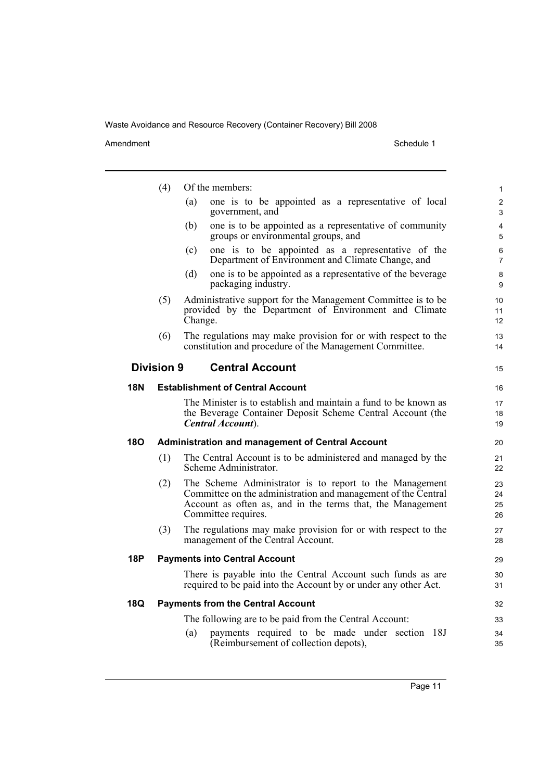|            | (4)               | Of the members:                                                                                                                                                                                               | $\mathbf{1}$         |
|------------|-------------------|---------------------------------------------------------------------------------------------------------------------------------------------------------------------------------------------------------------|----------------------|
|            |                   | one is to be appointed as a representative of local<br>(a)<br>government, and                                                                                                                                 | 2<br>3               |
|            |                   | one is to be appointed as a representative of community<br>(b)<br>groups or environmental groups, and                                                                                                         | $\overline{4}$<br>5  |
|            |                   | one is to be appointed as a representative of the<br>(c)<br>Department of Environment and Climate Change, and                                                                                                 | 6<br>$\overline{7}$  |
|            |                   | (d)<br>one is to be appointed as a representative of the beverage<br>packaging industry.                                                                                                                      | 8<br>9               |
|            | (5)               | Administrative support for the Management Committee is to be<br>provided by the Department of Environment and Climate<br>Change.                                                                              | 10<br>11<br>12       |
|            | (6)               | The regulations may make provision for or with respect to the<br>constitution and procedure of the Management Committee.                                                                                      | 13<br>14             |
|            | <b>Division 9</b> | <b>Central Account</b>                                                                                                                                                                                        | 15                   |
| <b>18N</b> |                   | <b>Establishment of Central Account</b>                                                                                                                                                                       | 16                   |
|            |                   | The Minister is to establish and maintain a fund to be known as<br>the Beverage Container Deposit Scheme Central Account (the<br>Central Account).                                                            | 17<br>18<br>19       |
| <b>180</b> |                   | <b>Administration and management of Central Account</b>                                                                                                                                                       | 20                   |
|            | (1)               | The Central Account is to be administered and managed by the<br>Scheme Administrator.                                                                                                                         | 21<br>22             |
|            | (2)               | The Scheme Administrator is to report to the Management<br>Committee on the administration and management of the Central<br>Account as often as, and in the terms that, the Management<br>Committee requires. | 23<br>24<br>25<br>26 |
|            | (3)               | The regulations may make provision for or with respect to the<br>management of the Central Account.                                                                                                           | 27<br>28             |
| 18P        |                   | <b>Payments into Central Account</b>                                                                                                                                                                          | 29                   |
|            |                   | There is payable into the Central Account such funds as are<br>required to be paid into the Account by or under any other Act.                                                                                | 30<br>31             |
| 18Q        |                   | <b>Payments from the Central Account</b>                                                                                                                                                                      | 32                   |
|            |                   | The following are to be paid from the Central Account:                                                                                                                                                        | 33                   |
|            |                   | payments required to be made under section 18J<br>(a)<br>(Reimbursement of collection depots),                                                                                                                | 34<br>35             |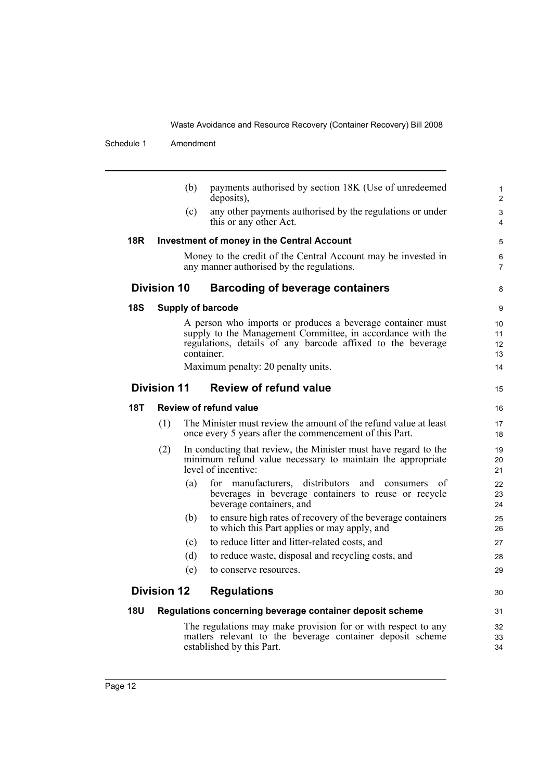|            |                    | (b) | payments authorised by section 18K (Use of unredeemed<br>deposits),                                                                                                                                   | $\mathbf{1}$<br>$\overline{2}$    |
|------------|--------------------|-----|-------------------------------------------------------------------------------------------------------------------------------------------------------------------------------------------------------|-----------------------------------|
|            |                    | (c) | any other payments authorised by the regulations or under<br>this or any other Act.                                                                                                                   | 3<br>4                            |
| 18R        |                    |     | <b>Investment of money in the Central Account</b>                                                                                                                                                     | 5                                 |
|            |                    |     | Money to the credit of the Central Account may be invested in<br>any manner authorised by the regulations.                                                                                            | 6<br>$\overline{7}$               |
|            | <b>Division 10</b> |     | <b>Barcoding of beverage containers</b>                                                                                                                                                               | 8                                 |
| <b>18S</b> |                    |     | <b>Supply of barcode</b>                                                                                                                                                                              | 9                                 |
|            |                    |     | A person who imports or produces a beverage container must<br>supply to the Management Committee, in accordance with the<br>regulations, details of any barcode affixed to the beverage<br>container. | 10 <sup>°</sup><br>11<br>12<br>13 |
|            |                    |     | Maximum penalty: 20 penalty units.                                                                                                                                                                    | 14                                |
|            | <b>Division 11</b> |     | <b>Review of refund value</b>                                                                                                                                                                         | 15                                |
| 18T        |                    |     | <b>Review of refund value</b>                                                                                                                                                                         | 16                                |
|            | (1)                |     | The Minister must review the amount of the refund value at least<br>once every 5 years after the commencement of this Part.                                                                           | 17<br>18                          |
|            | (2)                |     | In conducting that review, the Minister must have regard to the<br>minimum refund value necessary to maintain the appropriate<br>level of incentive:                                                  | 19<br>20<br>21                    |
|            |                    | (a) | for manufacturers, distributors<br>and<br>of<br>consumers<br>beverages in beverage containers to reuse or recycle<br>beverage containers, and                                                         | 22<br>23<br>24                    |
|            |                    | (b) | to ensure high rates of recovery of the beverage containers<br>to which this Part applies or may apply, and                                                                                           | 25<br>26                          |
|            |                    | (c) | to reduce litter and litter-related costs, and                                                                                                                                                        | 27                                |
|            |                    | (d) | to reduce waste, disposal and recycling costs, and                                                                                                                                                    | 28                                |
|            |                    | (e) | to conserve resources.                                                                                                                                                                                | 29                                |
|            | <b>Division 12</b> |     | <b>Regulations</b>                                                                                                                                                                                    | 30                                |
| <b>18U</b> |                    |     | Regulations concerning beverage container deposit scheme                                                                                                                                              | 31                                |
|            |                    |     | The regulations may make provision for or with respect to any<br>matters relevant to the beverage container deposit scheme<br>established by this Part.                                               | 32<br>33<br>34                    |